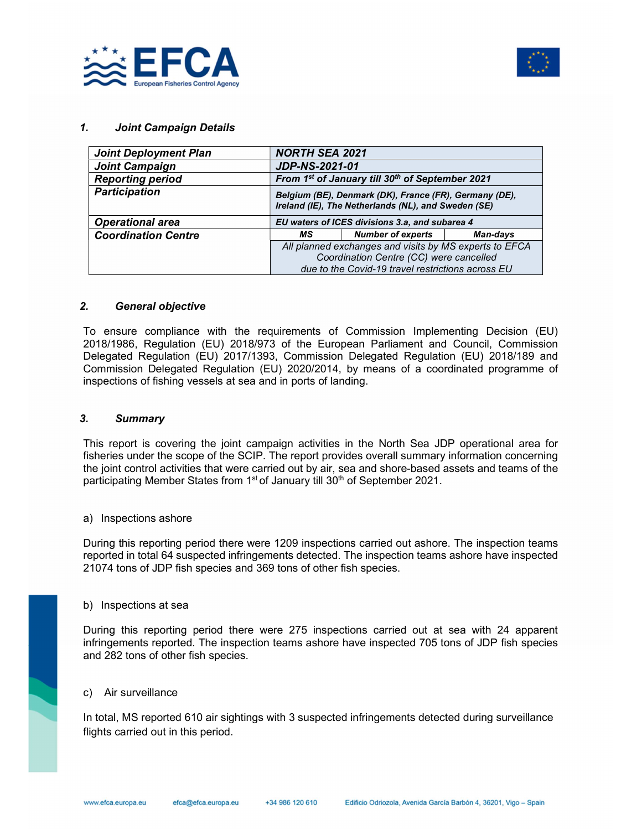



## 1. Joint Campaign Details

| <b>Joint Deployment Plan</b> | <b>NORTH SEA 2021</b>                                                                                                                                  |                                                                                                               |          |  |  |
|------------------------------|--------------------------------------------------------------------------------------------------------------------------------------------------------|---------------------------------------------------------------------------------------------------------------|----------|--|--|
| <b>Joint Campaign</b>        | <b>JDP-NS-2021-01</b>                                                                                                                                  |                                                                                                               |          |  |  |
| <b>Reporting period</b>      |                                                                                                                                                        | From 1st of January till 30th of September 2021                                                               |          |  |  |
| <b>Participation</b>         |                                                                                                                                                        | Belgium (BE), Denmark (DK), France (FR), Germany (DE),<br>Ireland (IE), The Netherlands (NL), and Sweden (SE) |          |  |  |
| <b>Operational area</b>      | EU waters of ICES divisions 3.a, and subarea 4                                                                                                         |                                                                                                               |          |  |  |
| <b>Coordination Centre</b>   | МS                                                                                                                                                     | <b>Number of experts</b>                                                                                      | Man-days |  |  |
|                              | All planned exchanges and visits by MS experts to EFCA<br>Coordination Centre (CC) were cancelled<br>due to the Covid-19 travel restrictions across EU |                                                                                                               |          |  |  |

### 2. General objective

To ensure compliance with the requirements of Commission Implementing Decision (EU) 2018/1986, Regulation (EU) 2018/973 of the European Parliament and Council, Commission Delegated Regulation (EU) 2017/1393, Commission Delegated Regulation (EU) 2018/189 and Commission Delegated Regulation (EU) 2020/2014, by means of a coordinated programme of inspections of fishing vessels at sea and in ports of landing.

#### 3. Summary

This report is covering the joint campaign activities in the North Sea JDP operational area for fisheries under the scope of the SCIP. The report provides overall summary information concerning the joint control activities that were carried out by air, sea and shore-based assets and teams of the participating Member States from 1<sup>st</sup> of January till 30<sup>th</sup> of September 2021.

#### a) Inspections ashore

During this reporting period there were 1209 inspections carried out ashore. The inspection teams reported in total 64 suspected infringements detected. The inspection teams ashore have inspected 21074 tons of JDP fish species and 369 tons of other fish species.

#### b) Inspections at sea

During this reporting period there were 275 inspections carried out at sea with 24 apparent infringements reported. The inspection teams ashore have inspected 705 tons of JDP fish species and 282 tons of other fish species.

# c) Air surveillance

In total, MS reported 610 air sightings with 3 suspected infringements detected during surveillance flights carried out in this period.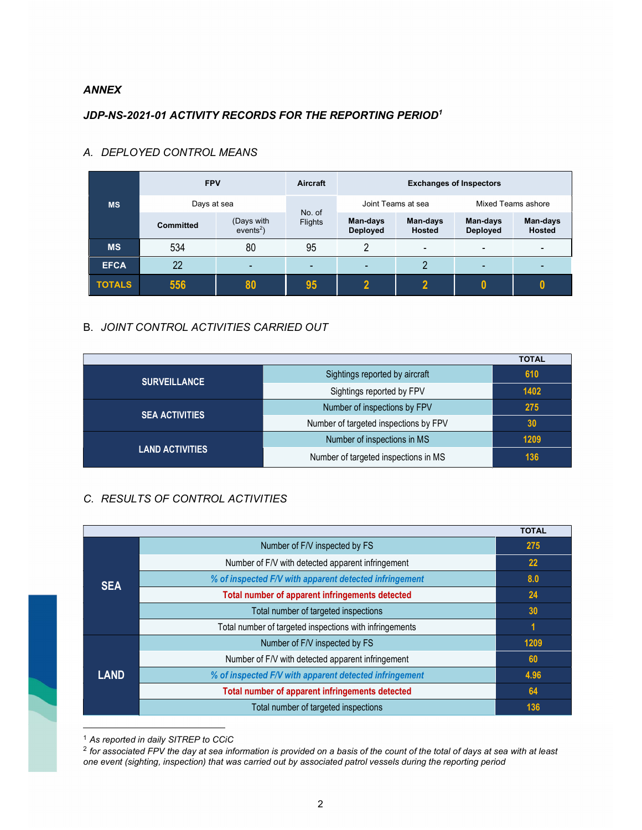## ANNEX

# JDP-NS-2021-01 ACTIVITY RECORDS FOR THE REPORTING PERIOD<sup>1</sup>

|               | <b>FPV</b>       |                           | Aircraft                 | <b>Exchanges of Inspectors</b> |                    |                             |                           |
|---------------|------------------|---------------------------|--------------------------|--------------------------------|--------------------|-----------------------------|---------------------------|
| <b>MS</b>     | Days at sea      |                           |                          | Joint Teams at sea             |                    | Mixed Teams ashore          |                           |
|               | <b>Committed</b> | (Days with<br>$events2$ ) | No. of<br><b>Flights</b> | Man-days<br><b>Deployed</b>    | Man-days<br>Hosted | Man-days<br><b>Deployed</b> | Man-days<br><b>Hosted</b> |
| <b>MS</b>     | 534              | 80                        | 95                       | ∩                              | -                  | -                           |                           |
| <b>EFCA</b>   | 22               | $\overline{\phantom{0}}$  | $\overline{\phantom{0}}$ | $\overline{\phantom{0}}$       | 2                  | -                           |                           |
| <b>TOTALS</b> | 556              | 80                        | 95                       | າ                              | $\mathbf{2}$       |                             |                           |

# A. DEPLOYED CONTROL MEANS

# B. JOINT CONTROL ACTIVITIES CARRIED OUT

|                        |                                       | <b>TOTAL</b> |
|------------------------|---------------------------------------|--------------|
| <b>SURVEILLANCE</b>    | Sightings reported by aircraft        | 610          |
|                        | Sightings reported by FPV             | 1402         |
|                        | Number of inspections by FPV          | 275          |
| <b>SEA ACTIVITIES</b>  | Number of targeted inspections by FPV | 30           |
|                        | Number of inspections in MS           | 1209         |
| <b>LAND ACTIVITIES</b> | Number of targeted inspections in MS  | 136          |

# C. RESULTS OF CONTROL ACTIVITIES

|             |                                                         | <b>TOTAL</b> |
|-------------|---------------------------------------------------------|--------------|
| <b>SEA</b>  | Number of F/V inspected by FS                           | 275          |
|             | Number of F/V with detected apparent infringement       | <b>22</b>    |
|             | % of inspected F/V with apparent detected infringement  | 8.0          |
|             | Total number of apparent infringements detected         | 24           |
|             | Total number of targeted inspections                    | 30           |
|             | Total number of targeted inspections with infringements | 1            |
| <b>LAND</b> | Number of F/V inspected by FS                           | 1209         |
|             | Number of F/V with detected apparent infringement       | 60           |
|             | % of inspected F/V with apparent detected infringement  | 4.96         |
|             | Total number of apparent infringements detected         | 64           |
|             | Total number of targeted inspections                    | 136          |

<sup>1</sup> As reported in daily SITREP to CCiC

 $^2$  for associated FPV the day at sea information is provided on a basis of the count of the total of days at sea with at least one event (sighting, inspection) that was carried out by associated patrol vessels during the reporting period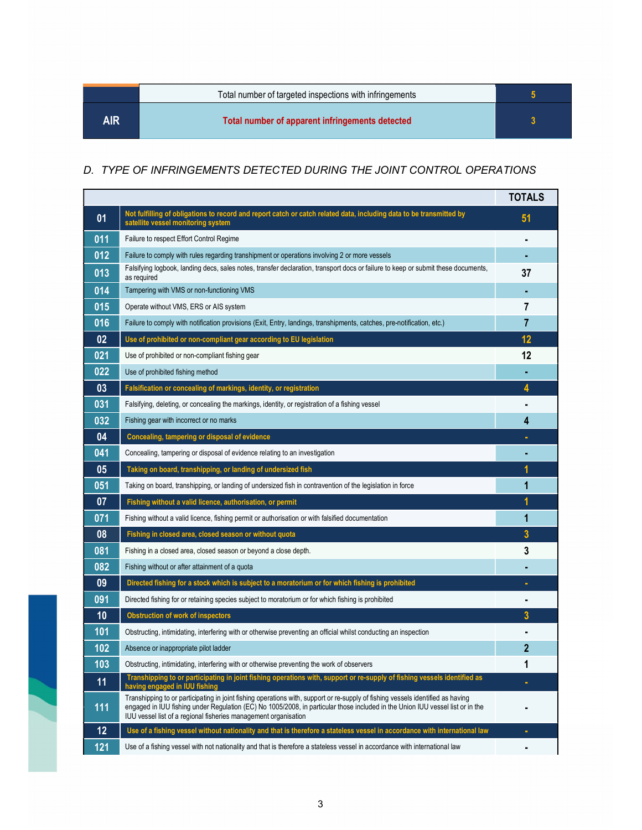|      | Total number of targeted inspections with infringements |  |
|------|---------------------------------------------------------|--|
| AIR. | Total number of apparent infringements detected         |  |

# D. TYPE OF INFRINGEMENTS DETECTED DURING THE JOINT CONTROL OPERATIONS

|     |                                                                                                                                                                                                                                                                                                                                      | <b>TOTALS</b>  |
|-----|--------------------------------------------------------------------------------------------------------------------------------------------------------------------------------------------------------------------------------------------------------------------------------------------------------------------------------------|----------------|
| 01  | Not fulfilling of obligations to record and report catch or catch related data, including data to be transmitted by<br>satellite vessel monitoring system                                                                                                                                                                            | 51             |
| 011 | Failure to respect Effort Control Regime                                                                                                                                                                                                                                                                                             |                |
| 012 | Failure to comply with rules regarding transhipment or operations involving 2 or more vessels                                                                                                                                                                                                                                        |                |
| 013 | Falsifying logbook, landing decs, sales notes, transfer declaration, transport docs or failure to keep or submit these documents,<br>as required                                                                                                                                                                                     | 37             |
| 014 | Tampering with VMS or non-functioning VMS                                                                                                                                                                                                                                                                                            |                |
| 015 | Operate without VMS, ERS or AIS system                                                                                                                                                                                                                                                                                               | 7              |
| 016 | Failure to comply with notification provisions (Exit, Entry, landings, transhipments, catches, pre-notification, etc.)                                                                                                                                                                                                               | 7              |
| 02  | Use of prohibited or non-compliant gear according to EU legislation                                                                                                                                                                                                                                                                  | 12             |
| 021 | Use of prohibited or non-compliant fishing gear                                                                                                                                                                                                                                                                                      | 12             |
| 022 | Use of prohibited fishing method                                                                                                                                                                                                                                                                                                     |                |
| 03  | Falsification or concealing of markings, identity, or registration                                                                                                                                                                                                                                                                   | 4              |
| 031 | Falsifying, deleting, or concealing the markings, identity, or registration of a fishing vessel                                                                                                                                                                                                                                      |                |
| 032 | Fishing gear with incorrect or no marks                                                                                                                                                                                                                                                                                              | 4              |
| 04  | Concealing, tampering or disposal of evidence                                                                                                                                                                                                                                                                                        |                |
| 041 | Concealing, tampering or disposal of evidence relating to an investigation                                                                                                                                                                                                                                                           |                |
| 05  | Taking on board, transhipping, or landing of undersized fish                                                                                                                                                                                                                                                                         | 1              |
| 051 | Taking on board, transhipping, or landing of undersized fish in contravention of the legislation in force                                                                                                                                                                                                                            | 1              |
| 07  | Fishing without a valid licence, authorisation, or permit                                                                                                                                                                                                                                                                            | 1              |
| 071 | Fishing without a valid licence, fishing permit or authorisation or with falsified documentation                                                                                                                                                                                                                                     | 1              |
| 08  | Fishing in closed area, closed season or without quota                                                                                                                                                                                                                                                                               | 3              |
| 081 | Fishing in a closed area, closed season or beyond a close depth.                                                                                                                                                                                                                                                                     | 3              |
| 082 | Fishing without or after attainment of a quota                                                                                                                                                                                                                                                                                       |                |
| 09  | Directed fishing for a stock which is subject to a moratorium or for which fishing is prohibited                                                                                                                                                                                                                                     |                |
| 091 | Directed fishing for or retaining species subject to moratorium or for which fishing is prohibited                                                                                                                                                                                                                                   |                |
| 10  | <b>Obstruction of work of inspectors</b>                                                                                                                                                                                                                                                                                             | 3              |
| 101 | Obstructing, intimidating, interfering with or otherwise preventing an official whilst conducting an inspection                                                                                                                                                                                                                      |                |
| 102 | Absence or inappropriate pilot ladder                                                                                                                                                                                                                                                                                                | 2              |
| 103 | Obstructing, intimidating, interfering with or otherwise preventing the work of observers                                                                                                                                                                                                                                            | 1              |
| 11  | Transhipping to or participating in joint fishing operations with, support or re-supply of fishing vessels identified as<br>having engaged in IUU fishing                                                                                                                                                                            | ٠              |
| 111 | Transhipping to or participating in joint fishing operations with, support or re-supply of fishing vessels identified as having<br>engaged in IUU fishing under Regulation (EC) No 1005/2008, in particular those included in the Union IUU vessel list or in the<br>IUU vessel list of a regional fisheries management organisation |                |
| 12  | Use of a fishing vessel without nationality and that is therefore a stateless vessel in accordance with international law                                                                                                                                                                                                            | ٠              |
| 121 | Use of a fishing vessel with not nationality and that is therefore a stateless vessel in accordance with international law                                                                                                                                                                                                           | $\blacksquare$ |

i.